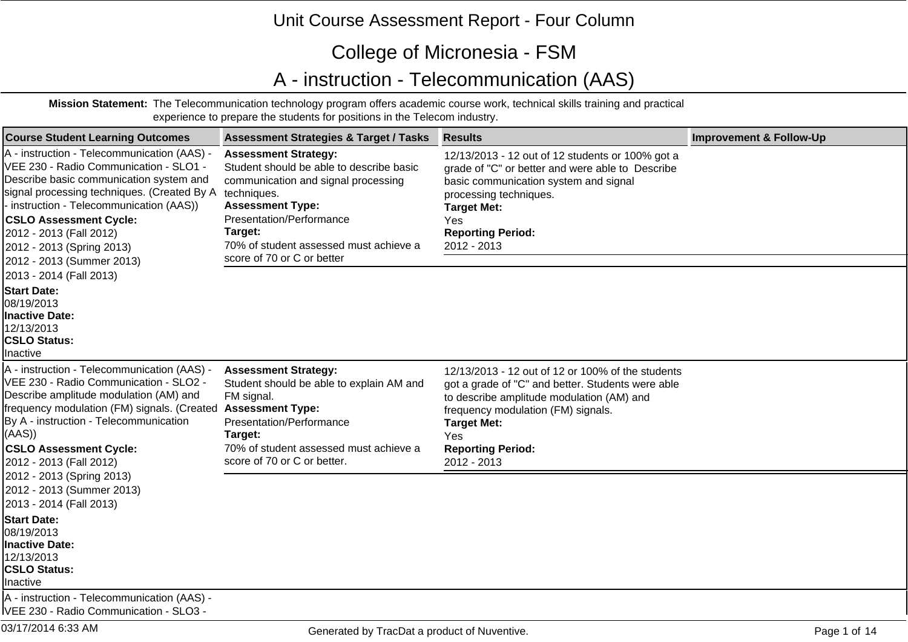## Unit Course Assessment Report - Four Column

## College of Micronesia - FSM

## A - instruction - Telecommunication (AAS)

**Mission Statement:** The Telecommunication technology program offers academic course work, technical skills training and practical experience to prepare the students for positions in the Telecom industry.

| <b>Course Student Learning Outcomes</b>                                                                                                                                                                                                                                                                                                                                      | <b>Assessment Strategies &amp; Target / Tasks</b>                                                                                                                                                                                                                       | <b>Results</b>                                                                                                                                                                                                                                                    | <b>Improvement &amp; Follow-Up</b> |
|------------------------------------------------------------------------------------------------------------------------------------------------------------------------------------------------------------------------------------------------------------------------------------------------------------------------------------------------------------------------------|-------------------------------------------------------------------------------------------------------------------------------------------------------------------------------------------------------------------------------------------------------------------------|-------------------------------------------------------------------------------------------------------------------------------------------------------------------------------------------------------------------------------------------------------------------|------------------------------------|
| A - instruction - Telecommunication (AAS) -<br>VEE 230 - Radio Communication - SLO1 -<br>Describe basic communication system and<br>signal processing techniques. (Created By A<br>- instruction - Telecommunication (AAS))<br><b>CSLO Assessment Cycle:</b><br>2012 - 2013 (Fall 2012)<br>2012 - 2013 (Spring 2013)<br>2012 - 2013 (Summer 2013)<br>2013 - 2014 (Fall 2013) | <b>Assessment Strategy:</b><br>Student should be able to describe basic<br>communication and signal processing<br>techniques.<br><b>Assessment Type:</b><br>Presentation/Performance<br>Target:<br>70% of student assessed must achieve a<br>score of 70 or C or better | 12/13/2013 - 12 out of 12 students or 100% got a<br>grade of "C" or better and were able to Describe<br>basic communication system and signal<br>processing techniques.<br><b>Target Met:</b><br>Yes.<br><b>Reporting Period:</b><br>2012 - 2013                  |                                    |
| <b>Start Date:</b><br>08/19/2013<br><b>Inactive Date:</b><br>12/13/2013<br><b>CSLO Status:</b><br><b>Inactive</b>                                                                                                                                                                                                                                                            |                                                                                                                                                                                                                                                                         |                                                                                                                                                                                                                                                                   |                                    |
| A - instruction - Telecommunication (AAS) -<br>VEE 230 - Radio Communication - SLO2 -<br>Describe amplitude modulation (AM) and<br>frequency modulation (FM) signals. (Created Assessment Type:<br>By A - instruction - Telecommunication<br>(AAS)<br><b>CSLO Assessment Cycle:</b><br>2012 - 2013 (Fall 2012)                                                               | <b>Assessment Strategy:</b><br>Student should be able to explain AM and<br>FM signal.<br>Presentation/Performance<br>Target:<br>70% of student assessed must achieve a<br>score of 70 or C or better.                                                                   | 12/13/2013 - 12 out of 12 or 100% of the students<br>got a grade of "C" and better. Students were able<br>to describe amplitude modulation (AM) and<br>frequency modulation (FM) signals.<br><b>Target Met:</b><br>Yes<br><b>Reporting Period:</b><br>2012 - 2013 |                                    |
| 2012 - 2013 (Spring 2013)<br>2012 - 2013 (Summer 2013)<br>2013 - 2014 (Fall 2013)<br><b>Start Date:</b><br>08/19/2013                                                                                                                                                                                                                                                        |                                                                                                                                                                                                                                                                         |                                                                                                                                                                                                                                                                   |                                    |
| <b>Inactive Date:</b><br>12/13/2013<br><b>CSLO Status:</b><br>Inactive<br>A - instruction - Telecommunication (AAS) -<br>IVEE 230 - Radio Communication - SLO3 -                                                                                                                                                                                                             |                                                                                                                                                                                                                                                                         |                                                                                                                                                                                                                                                                   |                                    |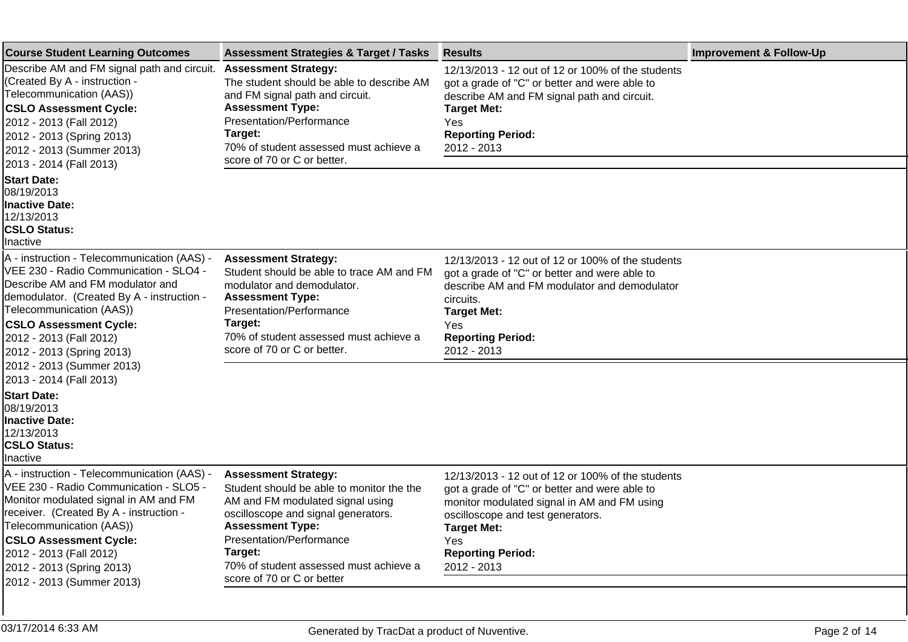| <b>Course Student Learning Outcomes</b>                                                                                                                                                                                                                                                                                     | <b>Assessment Strategies &amp; Target / Tasks</b>                                                                                                                                                                                                                                             | <b>Results</b>                                                                                                                                                                                                                                                        | <b>Improvement &amp; Follow-Up</b> |
|-----------------------------------------------------------------------------------------------------------------------------------------------------------------------------------------------------------------------------------------------------------------------------------------------------------------------------|-----------------------------------------------------------------------------------------------------------------------------------------------------------------------------------------------------------------------------------------------------------------------------------------------|-----------------------------------------------------------------------------------------------------------------------------------------------------------------------------------------------------------------------------------------------------------------------|------------------------------------|
| Describe AM and FM signal path and circuit.<br>(Created By A - instruction -<br>Telecommunication (AAS))<br><b>CSLO Assessment Cycle:</b><br>2012 - 2013 (Fall 2012)<br>2012 - 2013 (Spring 2013)<br>2012 - 2013 (Summer 2013)<br>2013 - 2014 (Fall 2013)                                                                   | <b>Assessment Strategy:</b><br>The student should be able to describe AM<br>and FM signal path and circuit.<br><b>Assessment Type:</b><br>Presentation/Performance<br>Target:<br>70% of student assessed must achieve a<br>score of 70 or C or better.                                        | 12/13/2013 - 12 out of 12 or 100% of the students<br>got a grade of "C" or better and were able to<br>describe AM and FM signal path and circuit.<br><b>Target Met:</b><br>Yes<br><b>Reporting Period:</b><br>2012 - 2013                                             |                                    |
| <b>Start Date:</b><br>08/19/2013<br><b>Inactive Date:</b><br>12/13/2013<br><b>CSLO Status:</b><br>Inactive                                                                                                                                                                                                                  |                                                                                                                                                                                                                                                                                               |                                                                                                                                                                                                                                                                       |                                    |
| A - instruction - Telecommunication (AAS) -<br>VEE 230 - Radio Communication - SLO4 -<br>Describe AM and FM modulator and<br>demodulator. (Created By A - instruction -<br>Telecommunication (AAS))<br><b>CSLO Assessment Cycle:</b><br>2012 - 2013 (Fall 2012)<br>2012 - 2013 (Spring 2013)                                | <b>Assessment Strategy:</b><br>Student should be able to trace AM and FM<br>modulator and demodulator.<br><b>Assessment Type:</b><br>Presentation/Performance<br>Target:<br>70% of student assessed must achieve a<br>score of 70 or C or better.                                             | 12/13/2013 - 12 out of 12 or 100% of the students<br>got a grade of "C" or better and were able to<br>describe AM and FM modulator and demodulator<br>circuits.<br><b>Target Met:</b><br>Yes<br><b>Reporting Period:</b><br>2012 - 2013                               |                                    |
| 2012 - 2013 (Summer 2013)<br>2013 - 2014 (Fall 2013)<br><b>Start Date:</b><br>08/19/2013<br><b>Inactive Date:</b><br>12/13/2013<br><b>CSLO Status:</b><br>Inactive                                                                                                                                                          |                                                                                                                                                                                                                                                                                               |                                                                                                                                                                                                                                                                       |                                    |
| A - instruction - Telecommunication (AAS) -<br>VEE 230 - Radio Communication - SLO5 -<br>Monitor modulated signal in AM and FM<br>receiver. (Created By A - instruction -<br>Telecommunication (AAS))<br><b>CSLO Assessment Cycle:</b><br>2012 - 2013 (Fall 2012)<br>2012 - 2013 (Spring 2013)<br>2012 - 2013 (Summer 2013) | <b>Assessment Strategy:</b><br>Student should be able to monitor the the<br>AM and FM modulated signal using<br>oscilloscope and signal generators.<br><b>Assessment Type:</b><br>Presentation/Performance<br>Target:<br>70% of student assessed must achieve a<br>score of 70 or C or better | 12/13/2013 - 12 out of 12 or 100% of the students<br>got a grade of "C" or better and were able to<br>monitor modulated signal in AM and FM using<br>oscilloscope and test generators.<br><b>Target Met:</b><br><b>Yes</b><br><b>Reporting Period:</b><br>2012 - 2013 |                                    |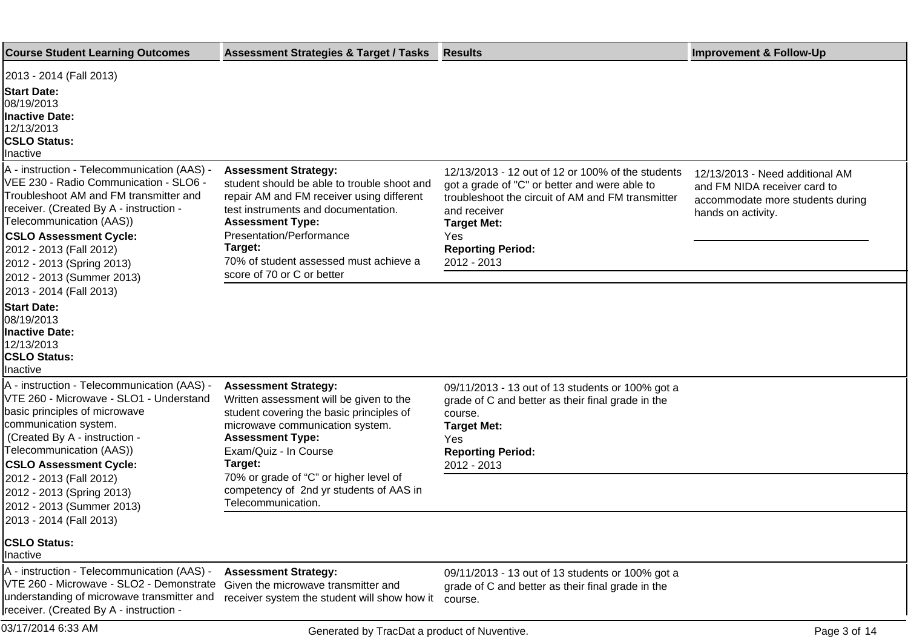| <b>Course Student Learning Outcomes</b>                                                                                                                                                                                                                                                                                                                 | <b>Assessment Strategies &amp; Target / Tasks</b>                                                                                                                                                                                                                                                         | <b>Results</b>                                                                                                                                                                                                                                  | <b>Improvement &amp; Follow-Up</b>                                                                                        |
|---------------------------------------------------------------------------------------------------------------------------------------------------------------------------------------------------------------------------------------------------------------------------------------------------------------------------------------------------------|-----------------------------------------------------------------------------------------------------------------------------------------------------------------------------------------------------------------------------------------------------------------------------------------------------------|-------------------------------------------------------------------------------------------------------------------------------------------------------------------------------------------------------------------------------------------------|---------------------------------------------------------------------------------------------------------------------------|
| 2013 - 2014 (Fall 2013)<br><b>Start Date:</b><br>08/19/2013<br><b>Inactive Date:</b><br>12/13/2013<br><b>CSLO Status:</b><br>Inactive                                                                                                                                                                                                                   |                                                                                                                                                                                                                                                                                                           |                                                                                                                                                                                                                                                 |                                                                                                                           |
| A - instruction - Telecommunication (AAS) -<br>VEE 230 - Radio Communication - SLO6 -<br>Troubleshoot AM and FM transmitter and<br>receiver. (Created By A - instruction -<br>Telecommunication (AAS))<br><b>CSLO Assessment Cycle:</b><br>2012 - 2013 (Fall 2012)<br>2012 - 2013 (Spring 2013)<br>2012 - 2013 (Summer 2013)<br>2013 - 2014 (Fall 2013) | <b>Assessment Strategy:</b><br>student should be able to trouble shoot and<br>repair AM and FM receiver using different<br>test instruments and documentation.<br><b>Assessment Type:</b><br>Presentation/Performance<br>Target:<br>70% of student assessed must achieve a<br>score of 70 or C or better  | 12/13/2013 - 12 out of 12 or 100% of the students<br>got a grade of "C" or better and were able to<br>troubleshoot the circuit of AM and FM transmitter<br>and receiver<br><b>Target Met:</b><br>Yes<br><b>Reporting Period:</b><br>2012 - 2013 | 12/13/2013 - Need additional AM<br>and FM NIDA receiver card to<br>accommodate more students during<br>hands on activity. |
| <b>Start Date:</b><br>08/19/2013<br><b>Inactive Date:</b><br>12/13/2013<br><b>CSLO Status:</b><br>Inactive                                                                                                                                                                                                                                              |                                                                                                                                                                                                                                                                                                           |                                                                                                                                                                                                                                                 |                                                                                                                           |
| A - instruction - Telecommunication (AAS) -<br>VTE 260 - Microwave - SLO1 - Understand<br>basic principles of microwave<br>communication system.<br>(Created By A - instruction -<br>Telecommunication (AAS))<br><b>CSLO Assessment Cycle:</b><br>2012 - 2013 (Fall 2012)<br>2012 - 2013 (Spring 2013)                                                  | <b>Assessment Strategy:</b><br>Written assessment will be given to the<br>student covering the basic principles of<br>microwave communication system.<br><b>Assessment Type:</b><br>Exam/Quiz - In Course<br>Target:<br>70% or grade of "C" or higher level of<br>competency of 2nd yr students of AAS in | 09/11/2013 - 13 out of 13 students or 100% got a<br>grade of C and better as their final grade in the<br>course.<br><b>Target Met:</b><br>Yes<br><b>Reporting Period:</b><br>2012 - 2013                                                        |                                                                                                                           |
| 2012 - 2013 (Summer 2013)<br>2013 - 2014 (Fall 2013)<br><b>CSLO Status:</b><br>Inactive                                                                                                                                                                                                                                                                 | Telecommunication.                                                                                                                                                                                                                                                                                        |                                                                                                                                                                                                                                                 |                                                                                                                           |
| A - instruction - Telecommunication (AAS) -<br>VTE 260 - Microwave - SLO2 - Demonstrate<br>understanding of microwave transmitter and<br>receiver. (Created By A - instruction -                                                                                                                                                                        | <b>Assessment Strategy:</b><br>Given the microwave transmitter and<br>receiver system the student will show how it                                                                                                                                                                                        | 09/11/2013 - 13 out of 13 students or 100% got a<br>grade of C and better as their final grade in the<br>course.                                                                                                                                |                                                                                                                           |
| 03/17/2014 6:33 AM                                                                                                                                                                                                                                                                                                                                      | Generated by TracDat a product of Nuventive.                                                                                                                                                                                                                                                              |                                                                                                                                                                                                                                                 | Page 3 of 14                                                                                                              |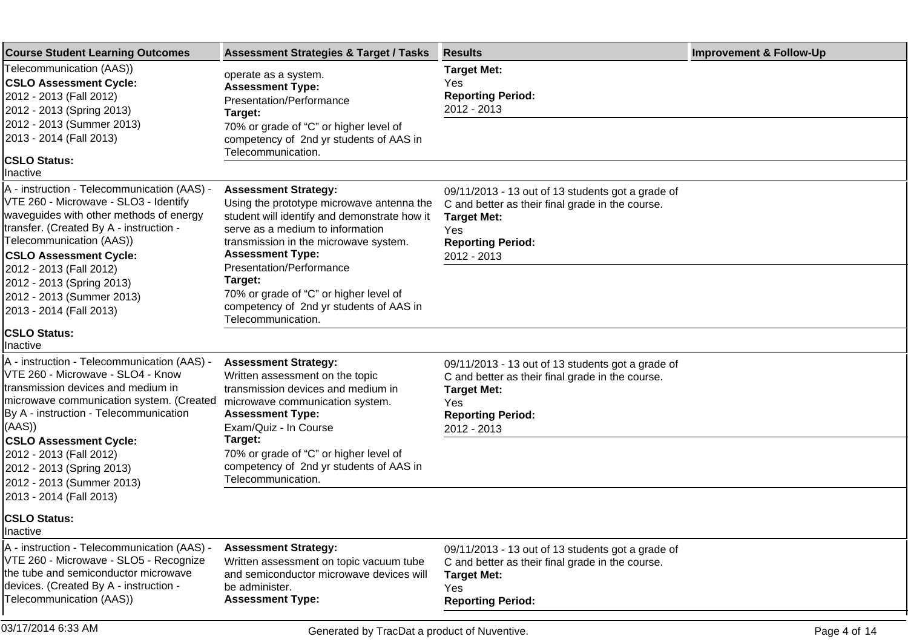| <b>Course Student Learning Outcomes</b>                                                                                                                                                                                                                            | <b>Assessment Strategies &amp; Target / Tasks</b>                                                                                                                                                                                                            | <b>Results</b>                                                                                                                                                                | <b>Improvement &amp; Follow-Up</b> |
|--------------------------------------------------------------------------------------------------------------------------------------------------------------------------------------------------------------------------------------------------------------------|--------------------------------------------------------------------------------------------------------------------------------------------------------------------------------------------------------------------------------------------------------------|-------------------------------------------------------------------------------------------------------------------------------------------------------------------------------|------------------------------------|
| Telecommunication (AAS))<br><b>CSLO Assessment Cycle:</b><br>2012 - 2013 (Fall 2012)<br>2012 - 2013 (Spring 2013)                                                                                                                                                  | operate as a system.<br><b>Assessment Type:</b><br>Presentation/Performance<br>Target:                                                                                                                                                                       | <b>Target Met:</b><br>Yes<br><b>Reporting Period:</b><br>2012 - 2013                                                                                                          |                                    |
| 2012 - 2013 (Summer 2013)<br>2013 - 2014 (Fall 2013)<br><b>CSLO Status:</b>                                                                                                                                                                                        | 70% or grade of "C" or higher level of<br>competency of 2nd yr students of AAS in<br>Telecommunication.                                                                                                                                                      |                                                                                                                                                                               |                                    |
| Inactive                                                                                                                                                                                                                                                           |                                                                                                                                                                                                                                                              |                                                                                                                                                                               |                                    |
| A - instruction - Telecommunication (AAS) -<br>VTE 260 - Microwave - SLO3 - Identify<br>waveguides with other methods of energy<br>transfer. (Created By A - instruction -<br>Telecommunication (AAS))<br><b>CSLO Assessment Cycle:</b><br>2012 - 2013 (Fall 2012) | <b>Assessment Strategy:</b><br>Using the prototype microwave antenna the<br>student will identify and demonstrate how it<br>serve as a medium to information<br>transmission in the microwave system.<br><b>Assessment Type:</b><br>Presentation/Performance | 09/11/2013 - 13 out of 13 students got a grade of<br>C and better as their final grade in the course.<br><b>Target Met:</b><br>Yes<br><b>Reporting Period:</b><br>2012 - 2013 |                                    |
| 2012 - 2013 (Spring 2013)<br>2012 - 2013 (Summer 2013)<br>2013 - 2014 (Fall 2013)                                                                                                                                                                                  | Target:<br>70% or grade of "C" or higher level of<br>competency of 2nd yr students of AAS in<br>Telecommunication.                                                                                                                                           |                                                                                                                                                                               |                                    |
| <b>CSLO Status:</b><br>Inactive                                                                                                                                                                                                                                    |                                                                                                                                                                                                                                                              |                                                                                                                                                                               |                                    |
| A - instruction - Telecommunication (AAS) -<br>VTE 260 - Microwave - SLO4 - Know<br>transmission devices and medium in<br>microwave communication system. (Created<br>By A - instruction - Telecommunication<br>((AAS)                                             | <b>Assessment Strategy:</b><br>Written assessment on the topic<br>transmission devices and medium in<br>microwave communication system.<br><b>Assessment Type:</b><br>Exam/Quiz - In Course                                                                  | 09/11/2013 - 13 out of 13 students got a grade of<br>C and better as their final grade in the course.<br><b>Target Met:</b><br>Yes<br><b>Reporting Period:</b><br>2012 - 2013 |                                    |
| <b>CSLO Assessment Cycle:</b><br>2012 - 2013 (Fall 2012)<br>2012 - 2013 (Spring 2013)<br>2012 - 2013 (Summer 2013)                                                                                                                                                 | Target:<br>70% or grade of "C" or higher level of<br>competency of 2nd yr students of AAS in<br>Telecommunication.                                                                                                                                           |                                                                                                                                                                               |                                    |
| 2013 - 2014 (Fall 2013)                                                                                                                                                                                                                                            |                                                                                                                                                                                                                                                              |                                                                                                                                                                               |                                    |
| <b>CSLO Status:</b><br>Inactive                                                                                                                                                                                                                                    |                                                                                                                                                                                                                                                              |                                                                                                                                                                               |                                    |
| A - instruction - Telecommunication (AAS) -<br>VTE 260 - Microwave - SLO5 - Recognize<br>the tube and semiconductor microwave<br>devices. (Created By A - instruction -<br>Telecommunication (AAS))                                                                | <b>Assessment Strategy:</b><br>Written assessment on topic vacuum tube<br>and semiconductor microwave devices will<br>be administer.<br><b>Assessment Type:</b>                                                                                              | 09/11/2013 - 13 out of 13 students got a grade of<br>C and better as their final grade in the course.<br><b>Target Met:</b><br>Yes<br><b>Reporting Period:</b>                |                                    |
|                                                                                                                                                                                                                                                                    |                                                                                                                                                                                                                                                              |                                                                                                                                                                               |                                    |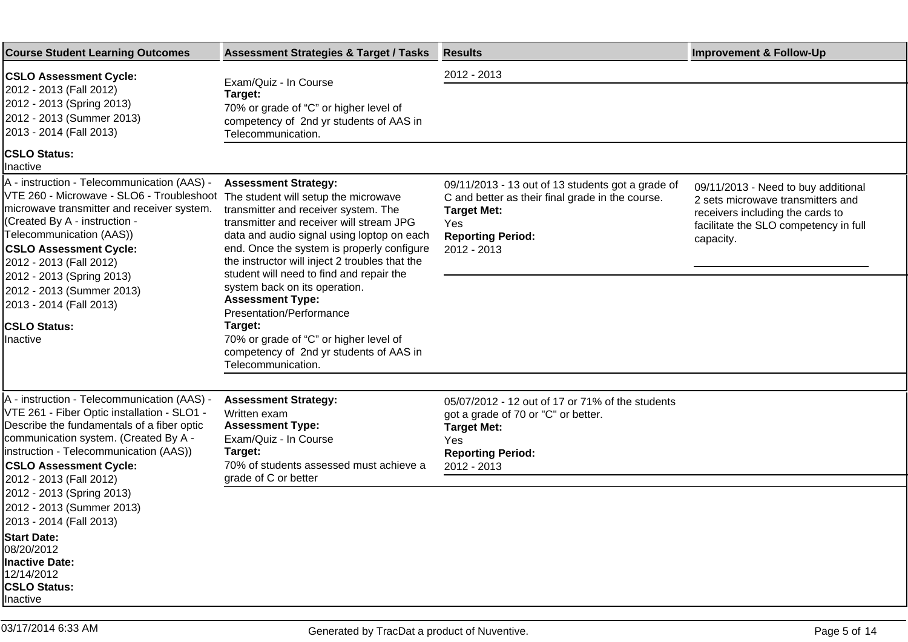| <b>Course Student Learning Outcomes</b>                                                                                                                                                                                                                                                                                                                                                                                      | <b>Assessment Strategies &amp; Target / Tasks</b>                                                                                                                                                                                                                                                                                                                                                                                                                                                                       | <b>Results</b>                                                                                                                                                                | <b>Improvement &amp; Follow-Up</b>                                                                                                                                 |
|------------------------------------------------------------------------------------------------------------------------------------------------------------------------------------------------------------------------------------------------------------------------------------------------------------------------------------------------------------------------------------------------------------------------------|-------------------------------------------------------------------------------------------------------------------------------------------------------------------------------------------------------------------------------------------------------------------------------------------------------------------------------------------------------------------------------------------------------------------------------------------------------------------------------------------------------------------------|-------------------------------------------------------------------------------------------------------------------------------------------------------------------------------|--------------------------------------------------------------------------------------------------------------------------------------------------------------------|
| <b>CSLO Assessment Cycle:</b><br>2012 - 2013 (Fall 2012)<br>2012 - 2013 (Spring 2013)<br>2012 - 2013 (Summer 2013)<br>2013 - 2014 (Fall 2013)                                                                                                                                                                                                                                                                                | Exam/Quiz - In Course<br>Target:<br>70% or grade of "C" or higher level of<br>competency of 2nd yr students of AAS in<br>Telecommunication.                                                                                                                                                                                                                                                                                                                                                                             | 2012 - 2013                                                                                                                                                                   |                                                                                                                                                                    |
| <b>CSLO Status:</b><br>Inactive                                                                                                                                                                                                                                                                                                                                                                                              |                                                                                                                                                                                                                                                                                                                                                                                                                                                                                                                         |                                                                                                                                                                               |                                                                                                                                                                    |
| A - instruction - Telecommunication (AAS) -<br>VTE 260 - Microwave - SLO6 - Troubleshoot The student will setup the microwave<br>microwave transmitter and receiver system.<br>(Created By A - instruction -<br>Telecommunication (AAS))<br><b>CSLO Assessment Cycle:</b><br>2012 - 2013 (Fall 2012)<br>2012 - 2013 (Spring 2013)<br>2012 - 2013 (Summer 2013)<br>2013 - 2014 (Fall 2013)<br><b>CSLO Status:</b><br>Inactive | <b>Assessment Strategy:</b><br>transmitter and receiver system. The<br>transmitter and receiver will stream JPG<br>data and audio signal using loptop on each<br>end. Once the system is properly configure<br>the instructor will inject 2 troubles that the<br>student will need to find and repair the<br>system back on its operation.<br><b>Assessment Type:</b><br>Presentation/Performance<br>Target:<br>70% or grade of "C" or higher level of<br>competency of 2nd yr students of AAS in<br>Telecommunication. | 09/11/2013 - 13 out of 13 students got a grade of<br>C and better as their final grade in the course.<br><b>Target Met:</b><br>Yes<br><b>Reporting Period:</b><br>2012 - 2013 | 09/11/2013 - Need to buy additional<br>2 sets microwave transmitters and<br>receivers including the cards to<br>facilitate the SLO competency in full<br>capacity. |
|                                                                                                                                                                                                                                                                                                                                                                                                                              |                                                                                                                                                                                                                                                                                                                                                                                                                                                                                                                         |                                                                                                                                                                               |                                                                                                                                                                    |
| A - instruction - Telecommunication (AAS) -<br>VTE 261 - Fiber Optic installation - SLO1 -<br>Describe the fundamentals of a fiber optic<br>communication system. (Created By A -<br>instruction - Telecommunication (AAS))<br><b>CSLO Assessment Cycle:</b>                                                                                                                                                                 | <b>Assessment Strategy:</b><br>Written exam<br><b>Assessment Type:</b><br>Exam/Quiz - In Course<br>Target:<br>70% of students assessed must achieve a                                                                                                                                                                                                                                                                                                                                                                   | 05/07/2012 - 12 out of 17 or 71% of the students<br>got a grade of 70 or "C" or better.<br><b>Target Met:</b><br>Yes<br><b>Reporting Period:</b><br>2012 - 2013               |                                                                                                                                                                    |
| 2012 - 2013 (Fall 2012)<br>2012 - 2013 (Spring 2013)                                                                                                                                                                                                                                                                                                                                                                         | grade of C or better                                                                                                                                                                                                                                                                                                                                                                                                                                                                                                    |                                                                                                                                                                               |                                                                                                                                                                    |
| 2012 - 2013 (Summer 2013)<br>2013 - 2014 (Fall 2013)                                                                                                                                                                                                                                                                                                                                                                         |                                                                                                                                                                                                                                                                                                                                                                                                                                                                                                                         |                                                                                                                                                                               |                                                                                                                                                                    |
| <b>Start Date:</b><br>08/20/2012<br><b>Inactive Date:</b><br>12/14/2012<br>CSLO Status:<br>Inactive                                                                                                                                                                                                                                                                                                                          |                                                                                                                                                                                                                                                                                                                                                                                                                                                                                                                         |                                                                                                                                                                               |                                                                                                                                                                    |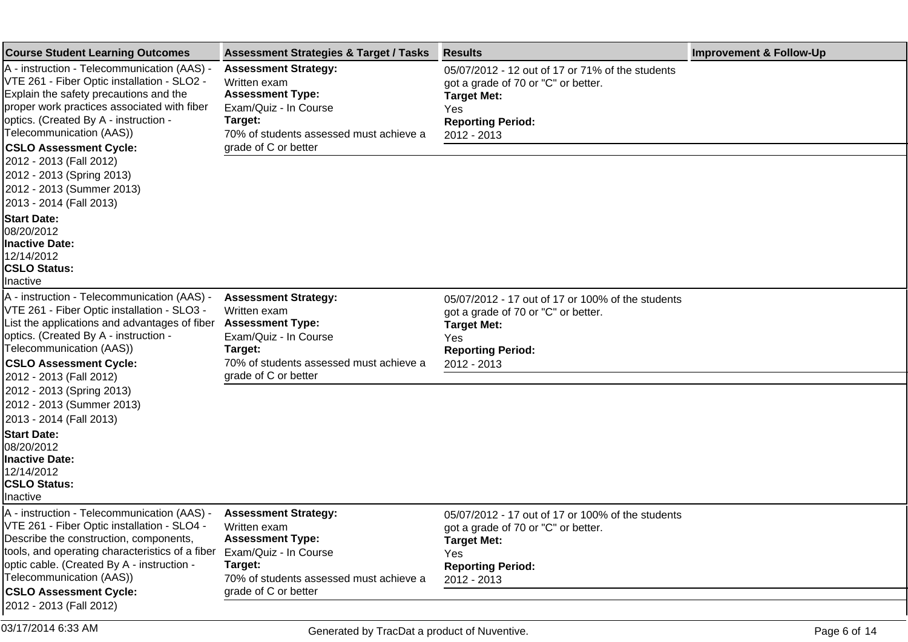| <b>Course Student Learning Outcomes</b>                                                                                                                                                                                                                                                                                              | <b>Assessment Strategies &amp; Target / Tasks</b>                                                                                                     | <b>Results</b>                                                                                                                                                   | <b>Improvement &amp; Follow-Up</b> |
|--------------------------------------------------------------------------------------------------------------------------------------------------------------------------------------------------------------------------------------------------------------------------------------------------------------------------------------|-------------------------------------------------------------------------------------------------------------------------------------------------------|------------------------------------------------------------------------------------------------------------------------------------------------------------------|------------------------------------|
| A - instruction - Telecommunication (AAS) -<br>VTE 261 - Fiber Optic installation - SLO2 -<br>Explain the safety precautions and the<br>proper work practices associated with fiber<br>optics. (Created By A - instruction -<br>Telecommunication (AAS))                                                                             | <b>Assessment Strategy:</b><br>Written exam<br><b>Assessment Type:</b><br>Exam/Quiz - In Course<br>Target:<br>70% of students assessed must achieve a | 05/07/2012 - 12 out of 17 or 71% of the students<br>got a grade of 70 or "C" or better.<br><b>Target Met:</b><br>Yes<br><b>Reporting Period:</b><br>2012 - 2013  |                                    |
| <b>CSLO Assessment Cycle:</b><br>2012 - 2013 (Fall 2012)<br>2012 - 2013 (Spring 2013)<br>2012 - 2013 (Summer 2013)<br>2013 - 2014 (Fall 2013)                                                                                                                                                                                        | grade of C or better                                                                                                                                  |                                                                                                                                                                  |                                    |
| <b>Start Date:</b><br>08/20/2012<br><b>Inactive Date:</b><br>12/14/2012<br><b>CSLO Status:</b><br>Inactive                                                                                                                                                                                                                           |                                                                                                                                                       |                                                                                                                                                                  |                                    |
| A - instruction - Telecommunication (AAS) -<br>VTE 261 - Fiber Optic installation - SLO3 -<br>List the applications and advantages of fiber<br>optics. (Created By A - instruction -<br>Telecommunication (AAS))<br><b>CSLO Assessment Cycle:</b>                                                                                    | <b>Assessment Strategy:</b><br>Written exam<br><b>Assessment Type:</b><br>Exam/Quiz - In Course<br>Target:<br>70% of students assessed must achieve a | 05/07/2012 - 17 out of 17 or 100% of the students<br>got a grade of 70 or "C" or better.<br><b>Target Met:</b><br>Yes<br><b>Reporting Period:</b><br>2012 - 2013 |                                    |
| 2012 - 2013 (Fall 2012)                                                                                                                                                                                                                                                                                                              | grade of C or better                                                                                                                                  |                                                                                                                                                                  |                                    |
| 2012 - 2013 (Spring 2013)<br>2012 - 2013 (Summer 2013)<br>2013 - 2014 (Fall 2013)                                                                                                                                                                                                                                                    |                                                                                                                                                       |                                                                                                                                                                  |                                    |
| <b>Start Date:</b><br>08/20/2012<br>Inactive Date:<br>12/14/2012<br><b>CSLO Status:</b><br>Inactive                                                                                                                                                                                                                                  |                                                                                                                                                       |                                                                                                                                                                  |                                    |
| A - instruction - Telecommunication (AAS) - Assessment Strategy:<br>VTE 261 - Fiber Optic installation - SLO4 - Written exam<br>Describe the construction, components,<br>tools, and operating characteristics of a fiber<br>optic cable. (Created By A - instruction -<br>Telecommunication (AAS))<br><b>CSLO Assessment Cycle:</b> | <b>Assessment Type:</b><br>Exam/Quiz - In Course<br>Target:<br>70% of students assessed must achieve a<br>grade of C or better                        | 05/07/2012 - 17 out of 17 or 100% of the students<br>got a grade of 70 or "C" or better.<br><b>Target Met:</b><br>Yes<br><b>Reporting Period:</b><br>2012 - 2013 |                                    |
| 2012 - 2013 (Fall 2012)                                                                                                                                                                                                                                                                                                              |                                                                                                                                                       |                                                                                                                                                                  |                                    |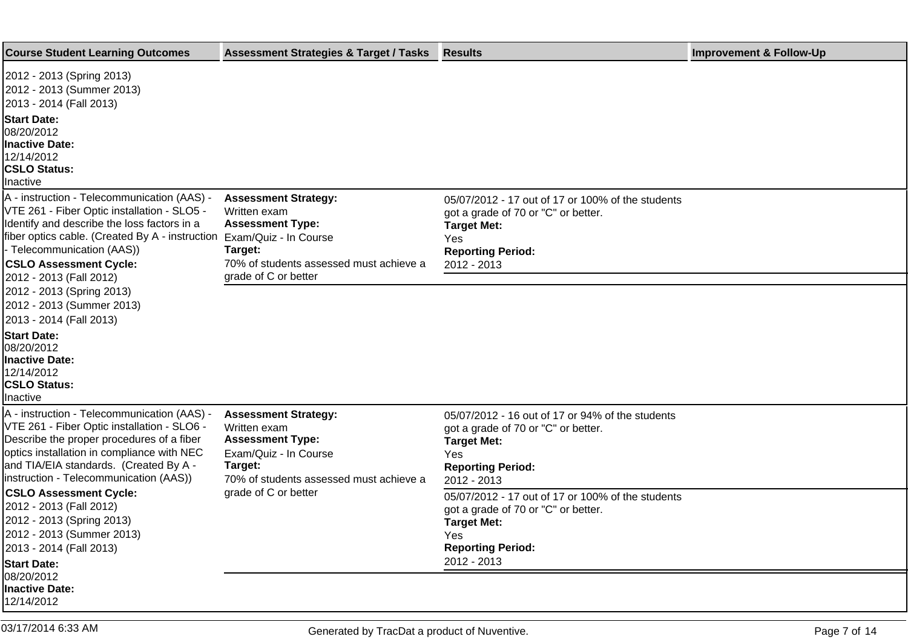| <b>Course Student Learning Outcomes</b>                                                                                                                                                                                                                                                                      | <b>Assessment Strategies &amp; Target / Tasks</b>                                                                                                     | <b>Results</b>                                                                                                                                                   | <b>Improvement &amp; Follow-Up</b> |
|--------------------------------------------------------------------------------------------------------------------------------------------------------------------------------------------------------------------------------------------------------------------------------------------------------------|-------------------------------------------------------------------------------------------------------------------------------------------------------|------------------------------------------------------------------------------------------------------------------------------------------------------------------|------------------------------------|
| 2012 - 2013 (Spring 2013)<br>2012 - 2013 (Summer 2013)<br>2013 - 2014 (Fall 2013)<br><b>Start Date:</b><br>08/20/2012<br><b>Inactive Date:</b><br>12/14/2012<br><b>CSLO Status:</b><br>Inactive                                                                                                              |                                                                                                                                                       |                                                                                                                                                                  |                                    |
| A - instruction - Telecommunication (AAS) -<br>VTE 261 - Fiber Optic installation - SLO5 -<br>Identify and describe the loss factors in a<br>fiber optics cable. (Created By A - instruction Exam/Quiz - In Course<br>- Telecommunication (AAS))<br><b>CSLO Assessment Cycle:</b><br>2012 - 2013 (Fall 2012) | <b>Assessment Strategy:</b><br>Written exam<br><b>Assessment Type:</b><br>Target:<br>70% of students assessed must achieve a<br>grade of C or better  | 05/07/2012 - 17 out of 17 or 100% of the students<br>got a grade of 70 or "C" or better.<br><b>Target Met:</b><br>Yes<br><b>Reporting Period:</b><br>2012 - 2013 |                                    |
| 2012 - 2013 (Spring 2013)<br>2012 - 2013 (Summer 2013)<br>2013 - 2014 (Fall 2013)                                                                                                                                                                                                                            |                                                                                                                                                       |                                                                                                                                                                  |                                    |
| <b>Start Date:</b><br>08/20/2012<br><b>Inactive Date:</b><br>12/14/2012<br><b>CSLO Status:</b><br>Inactive                                                                                                                                                                                                   |                                                                                                                                                       |                                                                                                                                                                  |                                    |
| A - instruction - Telecommunication (AAS) -<br>VTE 261 - Fiber Optic installation - SLO6 -<br>Describe the proper procedures of a fiber<br>optics installation in compliance with NEC<br>and TIA/EIA standards. (Created By A -<br>instruction - Telecommunication (AAS))                                    | <b>Assessment Strategy:</b><br>Written exam<br><b>Assessment Type:</b><br>Exam/Quiz - In Course<br>Target:<br>70% of students assessed must achieve a | 05/07/2012 - 16 out of 17 or 94% of the students<br>got a grade of 70 or "C" or better.<br><b>Target Met:</b><br>Yes<br><b>Reporting Period:</b><br>2012 - 2013  |                                    |
| <b>CSLO Assessment Cycle:</b><br>2012 - 2013 (Fall 2012)<br>2012 - 2013 (Spring 2013)<br>2012 - 2013 (Summer 2013)<br>2013 - 2014 (Fall 2013)<br><b>Start Date:</b>                                                                                                                                          | grade of C or better                                                                                                                                  | 05/07/2012 - 17 out of 17 or 100% of the students<br>got a grade of 70 or "C" or better.<br><b>Target Met:</b><br>Yes<br><b>Reporting Period:</b><br>2012 - 2013 |                                    |
| 08/20/2012<br><b>Inactive Date:</b><br>12/14/2012                                                                                                                                                                                                                                                            |                                                                                                                                                       |                                                                                                                                                                  |                                    |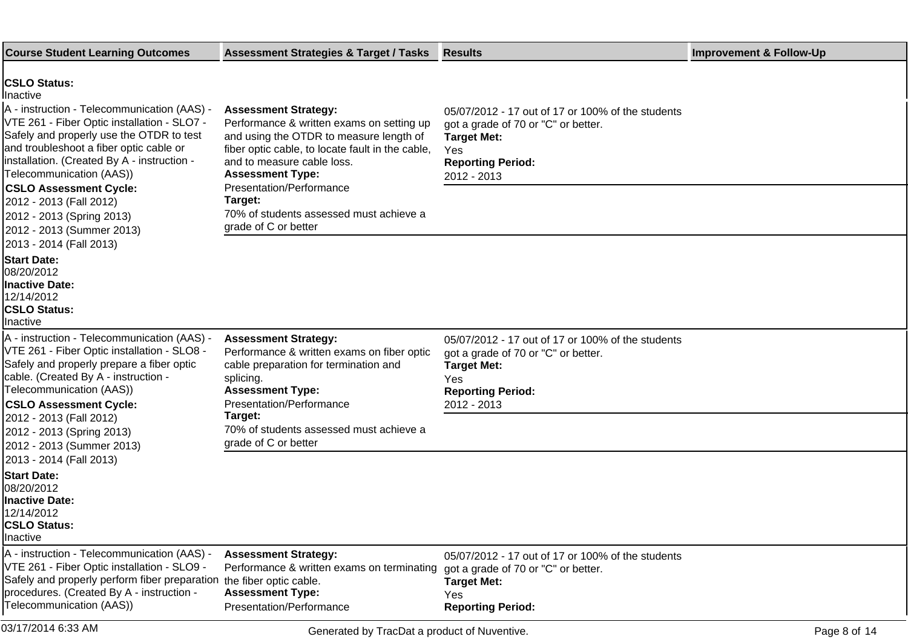| <b>Course Student Learning Outcomes</b>                                                                                                                                                                                                                                                                                                                                                                                                            | <b>Assessment Strategies &amp; Target / Tasks</b>                                                                                                                                                                                                                                                                                          | <b>Results</b>                                                                                                                                                   | <b>Improvement &amp; Follow-Up</b> |
|----------------------------------------------------------------------------------------------------------------------------------------------------------------------------------------------------------------------------------------------------------------------------------------------------------------------------------------------------------------------------------------------------------------------------------------------------|--------------------------------------------------------------------------------------------------------------------------------------------------------------------------------------------------------------------------------------------------------------------------------------------------------------------------------------------|------------------------------------------------------------------------------------------------------------------------------------------------------------------|------------------------------------|
| <b>CSLO Status:</b><br>linactive<br>A - instruction - Telecommunication (AAS) -<br>VTE 261 - Fiber Optic installation - SLO7 -<br>Safely and properly use the OTDR to test<br>and troubleshoot a fiber optic cable or<br>linstallation. (Created By A - instruction -<br>Telecommunication (AAS))<br><b>CSLO Assessment Cycle:</b><br>2012 - 2013 (Fall 2012)<br>2012 - 2013 (Spring 2013)<br>2012 - 2013 (Summer 2013)<br>2013 - 2014 (Fall 2013) | <b>Assessment Strategy:</b><br>Performance & written exams on setting up<br>and using the OTDR to measure length of<br>fiber optic cable, to locate fault in the cable,<br>and to measure cable loss.<br><b>Assessment Type:</b><br>Presentation/Performance<br>Target:<br>70% of students assessed must achieve a<br>grade of C or better | 05/07/2012 - 17 out of 17 or 100% of the students<br>got a grade of 70 or "C" or better.<br><b>Target Met:</b><br>Yes<br><b>Reporting Period:</b><br>2012 - 2013 |                                    |
| <b>Start Date:</b><br>08/20/2012<br><b>Inactive Date:</b><br>12/14/2012<br><b>CSLO Status:</b><br>Inactive                                                                                                                                                                                                                                                                                                                                         |                                                                                                                                                                                                                                                                                                                                            |                                                                                                                                                                  |                                    |
| A - instruction - Telecommunication (AAS) -<br>VTE 261 - Fiber Optic installation - SLO8 -<br>Safely and properly prepare a fiber optic<br>cable. (Created By A - instruction -<br>Telecommunication (AAS))<br><b>CSLO Assessment Cycle:</b><br>2012 - 2013 (Fall 2012)                                                                                                                                                                            | <b>Assessment Strategy:</b><br>Performance & written exams on fiber optic<br>cable preparation for termination and<br>splicing.<br><b>Assessment Type:</b><br>Presentation/Performance<br>Target:                                                                                                                                          | 05/07/2012 - 17 out of 17 or 100% of the students<br>got a grade of 70 or "C" or better.<br><b>Target Met:</b><br>Yes<br><b>Reporting Period:</b><br>2012 - 2013 |                                    |
| 2012 - 2013 (Spring 2013)<br>2012 - 2013 (Summer 2013)<br>2013 - 2014 (Fall 2013)                                                                                                                                                                                                                                                                                                                                                                  | 70% of students assessed must achieve a<br>grade of C or better                                                                                                                                                                                                                                                                            |                                                                                                                                                                  |                                    |
| <b>Start Date:</b><br>08/20/2012<br><b>Inactive Date:</b><br>12/14/2012<br><b>CSLO Status:</b><br>Inactive                                                                                                                                                                                                                                                                                                                                         |                                                                                                                                                                                                                                                                                                                                            |                                                                                                                                                                  |                                    |
| A - instruction - Telecommunication (AAS) -<br>VTE 261 - Fiber Optic installation - SLO9 -<br>Safely and properly perform fiber preparation the fiber optic cable.<br>procedures. (Created By A - instruction -<br>Telecommunication (AAS))                                                                                                                                                                                                        | <b>Assessment Strategy:</b><br>Performance & written exams on terminating<br><b>Assessment Type:</b><br>Presentation/Performance                                                                                                                                                                                                           | 05/07/2012 - 17 out of 17 or 100% of the students<br>got a grade of 70 or "C" or better.<br><b>Target Met:</b><br>Yes<br><b>Reporting Period:</b>                |                                    |
| 03/17/2014 6:33 AM                                                                                                                                                                                                                                                                                                                                                                                                                                 | Generated by TracDat a product of Nuventive.                                                                                                                                                                                                                                                                                               |                                                                                                                                                                  | Page 8 of 14                       |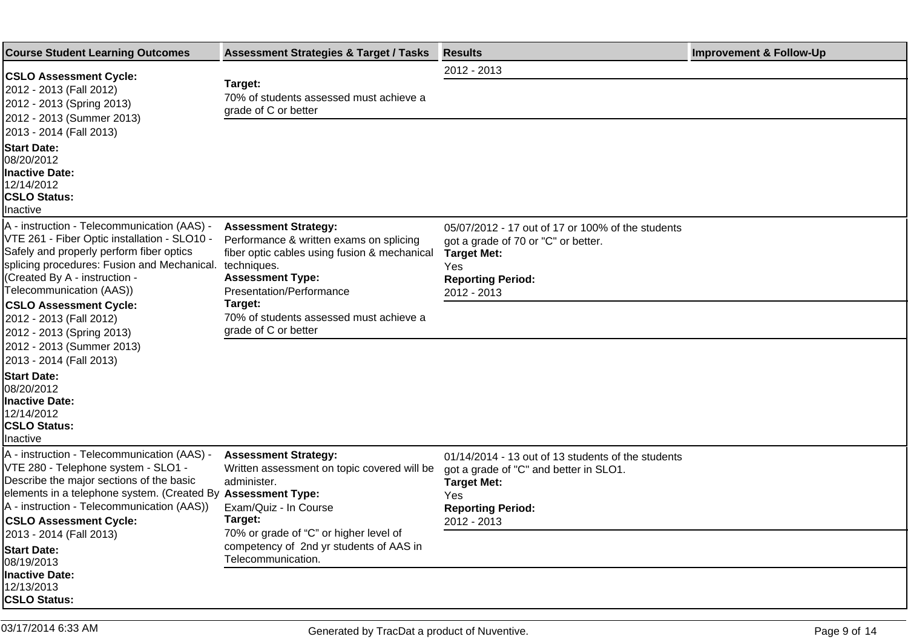| <b>Course Student Learning Outcomes</b>                                                                                                                                                                                                                      | <b>Assessment Strategies &amp; Target / Tasks</b>                                                                                                                                            | <b>Results</b>                                                                                                                                                       | <b>Improvement &amp; Follow-Up</b> |
|--------------------------------------------------------------------------------------------------------------------------------------------------------------------------------------------------------------------------------------------------------------|----------------------------------------------------------------------------------------------------------------------------------------------------------------------------------------------|----------------------------------------------------------------------------------------------------------------------------------------------------------------------|------------------------------------|
| <b>CSLO Assessment Cycle:</b><br>2012 - 2013 (Fall 2012)<br>2012 - 2013 (Spring 2013)<br>2012 - 2013 (Summer 2013)<br>2013 - 2014 (Fall 2013)                                                                                                                | Target:<br>70% of students assessed must achieve a<br>grade of C or better                                                                                                                   | 2012 - 2013                                                                                                                                                          |                                    |
| <b>Start Date:</b><br>08/20/2012<br><b>Inactive Date:</b><br>12/14/2012<br><b>CSLO Status:</b><br><b>Inactive</b>                                                                                                                                            |                                                                                                                                                                                              |                                                                                                                                                                      |                                    |
| A - instruction - Telecommunication (AAS) -<br>VTE 261 - Fiber Optic installation - SLO10 -<br>Safely and properly perform fiber optics<br>splicing procedures: Fusion and Mechanical.<br>(Created By A - instruction -<br>Telecommunication (AAS))          | <b>Assessment Strategy:</b><br>Performance & written exams on splicing<br>fiber optic cables using fusion & mechanical<br>techniques.<br><b>Assessment Type:</b><br>Presentation/Performance | 05/07/2012 - 17 out of 17 or 100% of the students<br>got a grade of 70 or "C" or better.<br><b>Target Met:</b><br>Yes<br><b>Reporting Period:</b><br>2012 - 2013     |                                    |
| <b>CSLO Assessment Cycle:</b><br>2012 - 2013 (Fall 2012)<br>2012 - 2013 (Spring 2013)<br>2012 - 2013 (Summer 2013)<br>2013 - 2014 (Fall 2013)                                                                                                                | Target:<br>70% of students assessed must achieve a<br>grade of C or better                                                                                                                   |                                                                                                                                                                      |                                    |
| <b>Start Date:</b><br>08/20/2012<br><b>Inactive Date:</b><br>12/14/2012<br><b>CSLO Status:</b><br>Inactive                                                                                                                                                   |                                                                                                                                                                                              |                                                                                                                                                                      |                                    |
| A - instruction - Telecommunication (AAS) -<br>VTE 280 - Telephone system - SLO1 -<br>Describe the major sections of the basic<br>elements in a telephone system. (Created By<br>A - instruction - Telecommunication (AAS))<br><b>CSLO Assessment Cycle:</b> | <b>Assessment Strategy:</b><br>Written assessment on topic covered will be<br>administer.<br><b>Assessment Type:</b><br>Exam/Quiz - In Course<br>Target:                                     | 01/14/2014 - 13 out of 13 students of the students<br>got a grade of "C" and better in SLO1.<br><b>Target Met:</b><br>Yes<br><b>Reporting Period:</b><br>2012 - 2013 |                                    |
| 2013 - 2014 (Fall 2013)<br><b>Start Date:</b><br>08/19/2013<br>Inactive Date:<br>12/13/2013<br><b>CSLO Status:</b>                                                                                                                                           | 70% or grade of "C" or higher level of<br>competency of 2nd yr students of AAS in<br>Telecommunication.                                                                                      |                                                                                                                                                                      |                                    |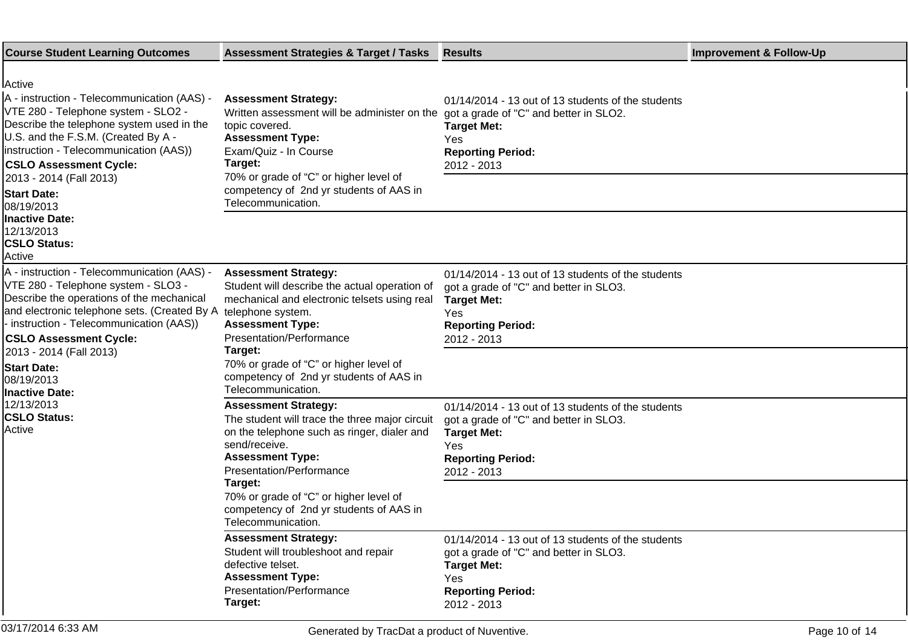| <b>Course Student Learning Outcomes</b>                                                                                                                                                                                                                                                                                     | <b>Assessment Strategies &amp; Target / Tasks</b>                                                                                                                                                                                                                                                              | <b>Results</b>                                                                                                                                                       | <b>Improvement &amp; Follow-Up</b> |
|-----------------------------------------------------------------------------------------------------------------------------------------------------------------------------------------------------------------------------------------------------------------------------------------------------------------------------|----------------------------------------------------------------------------------------------------------------------------------------------------------------------------------------------------------------------------------------------------------------------------------------------------------------|----------------------------------------------------------------------------------------------------------------------------------------------------------------------|------------------------------------|
| lActive<br>A - instruction - Telecommunication (AAS) -<br>VTE 280 - Telephone system - SLO2 -<br>Describe the telephone system used in the<br>U.S. and the F.S.M. (Created By A -<br>instruction - Telecommunication (AAS))<br><b>CSLO Assessment Cycle:</b><br>2013 - 2014 (Fall 2013)<br><b>Start Date:</b><br>08/19/2013 | <b>Assessment Strategy:</b><br>Written assessment will be administer on the got a grade of "C" and better in SLO2.<br>topic covered.<br><b>Assessment Type:</b><br>Exam/Quiz - In Course<br>Target:<br>70% or grade of "C" or higher level of<br>competency of 2nd yr students of AAS in<br>Telecommunication. | 01/14/2014 - 13 out of 13 students of the students<br><b>Target Met:</b><br>Yes<br><b>Reporting Period:</b><br>2012 - 2013                                           |                                    |
| <b>Inactive Date:</b><br>12/13/2013<br><b>CSLO Status:</b><br>Active                                                                                                                                                                                                                                                        |                                                                                                                                                                                                                                                                                                                |                                                                                                                                                                      |                                    |
| A - instruction - Telecommunication (AAS) -<br>VTE 280 - Telephone system - SLO3 -<br>Describe the operations of the mechanical<br>and electronic telephone sets. (Created By A<br>- instruction - Telecommunication (AAS))<br><b>CSLO Assessment Cycle:</b>                                                                | <b>Assessment Strategy:</b><br>Student will describe the actual operation of<br>mechanical and electronic telsets using real<br>telephone system.<br><b>Assessment Type:</b><br>Presentation/Performance                                                                                                       | 01/14/2014 - 13 out of 13 students of the students<br>got a grade of "C" and better in SLO3.<br><b>Target Met:</b><br>Yes<br><b>Reporting Period:</b><br>2012 - 2013 |                                    |
| 2013 - 2014 (Fall 2013)<br><b>Start Date:</b><br>08/19/2013<br><b>Inactive Date:</b>                                                                                                                                                                                                                                        | Target:<br>70% or grade of "C" or higher level of<br>competency of 2nd yr students of AAS in<br>Telecommunication.                                                                                                                                                                                             |                                                                                                                                                                      |                                    |
| 12/13/2013<br><b>CSLO Status:</b><br>Active                                                                                                                                                                                                                                                                                 | <b>Assessment Strategy:</b><br>The student will trace the three major circuit<br>on the telephone such as ringer, dialer and<br>send/receive.<br><b>Assessment Type:</b><br>Presentation/Performance                                                                                                           | 01/14/2014 - 13 out of 13 students of the students<br>got a grade of "C" and better in SLO3.<br><b>Target Met:</b><br>Yes<br><b>Reporting Period:</b><br>2012 - 2013 |                                    |
|                                                                                                                                                                                                                                                                                                                             | Target:<br>70% or grade of "C" or higher level of<br>competency of 2nd yr students of AAS in<br>Telecommunication.                                                                                                                                                                                             |                                                                                                                                                                      |                                    |
|                                                                                                                                                                                                                                                                                                                             | <b>Assessment Strategy:</b><br>Student will troubleshoot and repair<br>defective telset.<br><b>Assessment Type:</b><br>Presentation/Performance<br>Target:                                                                                                                                                     | 01/14/2014 - 13 out of 13 students of the students<br>got a grade of "C" and better in SLO3.<br><b>Target Met:</b><br>Yes<br><b>Reporting Period:</b><br>2012 - 2013 |                                    |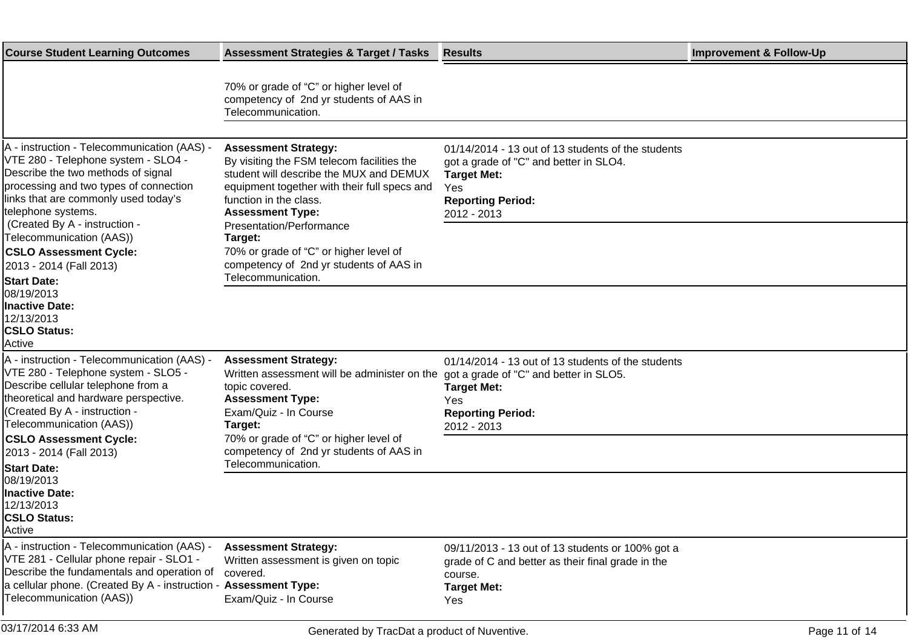| <b>Course Student Learning Outcomes</b>                                                                                                                                                                                                                                                                                                                                                       | <b>Assessment Strategies &amp; Target / Tasks</b>                                                                                                                                                                                                                                                                                                                           | <b>Results</b>                                                                                                                                                       | <b>Improvement &amp; Follow-Up</b> |
|-----------------------------------------------------------------------------------------------------------------------------------------------------------------------------------------------------------------------------------------------------------------------------------------------------------------------------------------------------------------------------------------------|-----------------------------------------------------------------------------------------------------------------------------------------------------------------------------------------------------------------------------------------------------------------------------------------------------------------------------------------------------------------------------|----------------------------------------------------------------------------------------------------------------------------------------------------------------------|------------------------------------|
|                                                                                                                                                                                                                                                                                                                                                                                               | 70% or grade of "C" or higher level of<br>competency of 2nd yr students of AAS in<br>Telecommunication.                                                                                                                                                                                                                                                                     |                                                                                                                                                                      |                                    |
| A - instruction - Telecommunication (AAS) -<br>VTE 280 - Telephone system - SLO4 -<br>Describe the two methods of signal<br>processing and two types of connection<br>links that are commonly used today's<br>telephone systems.<br>(Created By A - instruction -<br>Telecommunication (AAS))<br><b>CSLO Assessment Cycle:</b><br>2013 - 2014 (Fall 2013)<br><b>Start Date:</b><br>08/19/2013 | <b>Assessment Strategy:</b><br>By visiting the FSM telecom facilities the<br>student will describe the MUX and DEMUX<br>equipment together with their full specs and<br>function in the class.<br><b>Assessment Type:</b><br>Presentation/Performance<br>Target:<br>70% or grade of "C" or higher level of<br>competency of 2nd yr students of AAS in<br>Telecommunication. | 01/14/2014 - 13 out of 13 students of the students<br>got a grade of "C" and better in SLO4.<br><b>Target Met:</b><br>Yes<br><b>Reporting Period:</b><br>2012 - 2013 |                                    |
| <b>Inactive Date:</b><br>12/13/2013<br><b>CSLO Status:</b><br>Active                                                                                                                                                                                                                                                                                                                          |                                                                                                                                                                                                                                                                                                                                                                             |                                                                                                                                                                      |                                    |
| A - instruction - Telecommunication (AAS) -<br>VTE 280 - Telephone system - SLO5 -<br>Describe cellular telephone from a<br>theoretical and hardware perspective.<br>(Created By A - instruction -<br>Telecommunication (AAS))                                                                                                                                                                | <b>Assessment Strategy:</b><br>Written assessment will be administer on the<br>topic covered.<br><b>Assessment Type:</b><br>Exam/Quiz - In Course<br>Target:                                                                                                                                                                                                                | 01/14/2014 - 13 out of 13 students of the students<br>got a grade of "C" and better in SLO5.<br><b>Target Met:</b><br>Yes<br><b>Reporting Period:</b><br>2012 - 2013 |                                    |
| <b>CSLO Assessment Cycle:</b><br>2013 - 2014 (Fall 2013)<br><b>Start Date:</b>                                                                                                                                                                                                                                                                                                                | 70% or grade of "C" or higher level of<br>competency of 2nd yr students of AAS in<br>Telecommunication.                                                                                                                                                                                                                                                                     |                                                                                                                                                                      |                                    |
| 08/19/2013<br><b>Inactive Date:</b><br>12/13/2013<br><b>CSLO Status:</b><br>Active                                                                                                                                                                                                                                                                                                            |                                                                                                                                                                                                                                                                                                                                                                             |                                                                                                                                                                      |                                    |
| A - instruction - Telecommunication (AAS) -<br>VTE 281 - Cellular phone repair - SLO1 -<br>Describe the fundamentals and operation of<br>a cellular phone. (Created By A - instruction - Assessment Type:<br>Telecommunication (AAS))                                                                                                                                                         | <b>Assessment Strategy:</b><br>Written assessment is given on topic<br>covered.<br>Exam/Quiz - In Course                                                                                                                                                                                                                                                                    | 09/11/2013 - 13 out of 13 students or 100% got a<br>grade of C and better as their final grade in the<br>course.<br><b>Target Met:</b><br>Yes                        |                                    |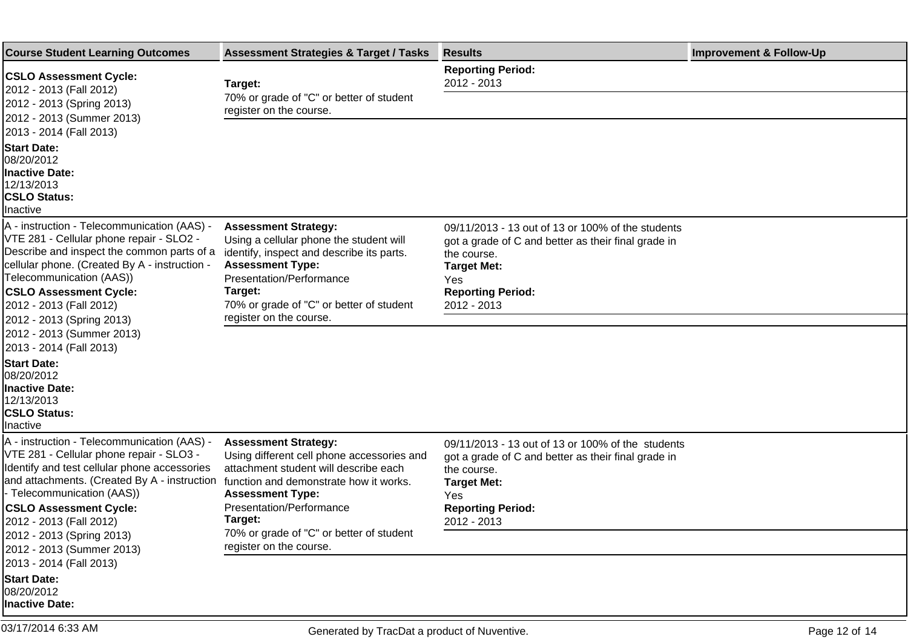| <b>Course Student Learning Outcomes</b>                                                                                                                                                                                                                                                                                                                                                                                                                                                                             | <b>Assessment Strategies &amp; Target / Tasks</b>                                                                                                                                                                                 | <b>Results</b>                                                                                                                                                                                  | <b>Improvement &amp; Follow-Up</b> |
|---------------------------------------------------------------------------------------------------------------------------------------------------------------------------------------------------------------------------------------------------------------------------------------------------------------------------------------------------------------------------------------------------------------------------------------------------------------------------------------------------------------------|-----------------------------------------------------------------------------------------------------------------------------------------------------------------------------------------------------------------------------------|-------------------------------------------------------------------------------------------------------------------------------------------------------------------------------------------------|------------------------------------|
| <b>CSLO Assessment Cycle:</b><br>2012 - 2013 (Fall 2012)<br>2012 - 2013 (Spring 2013)                                                                                                                                                                                                                                                                                                                                                                                                                               | Target:<br>70% or grade of "C" or better of student<br>register on the course.                                                                                                                                                    | <b>Reporting Period:</b><br>2012 - 2013                                                                                                                                                         |                                    |
| 2012 - 2013 (Summer 2013)<br>2013 - 2014 (Fall 2013)                                                                                                                                                                                                                                                                                                                                                                                                                                                                |                                                                                                                                                                                                                                   |                                                                                                                                                                                                 |                                    |
| <b>Start Date:</b><br>08/20/2012<br><b>Inactive Date:</b><br>12/13/2013<br><b>CSLO Status:</b><br>Inactive                                                                                                                                                                                                                                                                                                                                                                                                          |                                                                                                                                                                                                                                   |                                                                                                                                                                                                 |                                    |
| A - instruction - Telecommunication (AAS) -<br>VTE 281 - Cellular phone repair - SLO2 -<br>Describe and inspect the common parts of a<br>cellular phone. (Created By A - instruction -<br>Telecommunication (AAS))<br><b>CSLO Assessment Cycle:</b><br>2012 - 2013 (Fall 2012)                                                                                                                                                                                                                                      | <b>Assessment Strategy:</b><br>Using a cellular phone the student will<br>identify, inspect and describe its parts.<br><b>Assessment Type:</b><br>Presentation/Performance<br>Target:<br>70% or grade of "C" or better of student | 09/11/2013 - 13 out of 13 or 100% of the students<br>got a grade of C and better as their final grade in<br>the course.<br><b>Target Met:</b><br>Yes<br><b>Reporting Period:</b><br>2012 - 2013 |                                    |
| 2012 - 2013 (Spring 2013)<br>2012 - 2013 (Summer 2013)<br>2013 - 2014 (Fall 2013)                                                                                                                                                                                                                                                                                                                                                                                                                                   | register on the course.                                                                                                                                                                                                           |                                                                                                                                                                                                 |                                    |
| <b>Start Date:</b><br>08/20/2012<br><b>Inactive Date:</b><br>12/13/2013<br><b>CSLO Status:</b><br>Inactive                                                                                                                                                                                                                                                                                                                                                                                                          |                                                                                                                                                                                                                                   |                                                                                                                                                                                                 |                                    |
| A - instruction - Telecommunication (AAS) -<br><b>Assessment Strategy:</b><br>VTE 281 - Cellular phone repair - SLO3 -<br>Using different cell phone accessories and<br>Identify and test cellular phone accessories<br>attachment student will describe each<br>and attachments. (Created By A - instruction<br>function and demonstrate how it works.<br>- Telecommunication (AAS))<br><b>Assessment Type:</b><br><b>CSLO Assessment Cycle:</b><br>Presentation/Performance<br>Target:<br>2012 - 2013 (Fall 2012) | 09/11/2013 - 13 out of 13 or 100% of the students<br>got a grade of C and better as their final grade in<br>the course.<br><b>Target Met:</b><br>Yes<br><b>Reporting Period:</b><br>2012 - 2013                                   |                                                                                                                                                                                                 |                                    |
| 2012 - 2013 (Spring 2013)<br>2012 - 2013 (Summer 2013)                                                                                                                                                                                                                                                                                                                                                                                                                                                              | 70% or grade of "C" or better of student<br>register on the course.                                                                                                                                                               |                                                                                                                                                                                                 |                                    |
| 2013 - 2014 (Fall 2013)<br><b>Start Date:</b><br>08/20/2012<br><b>Inactive Date:</b>                                                                                                                                                                                                                                                                                                                                                                                                                                |                                                                                                                                                                                                                                   |                                                                                                                                                                                                 |                                    |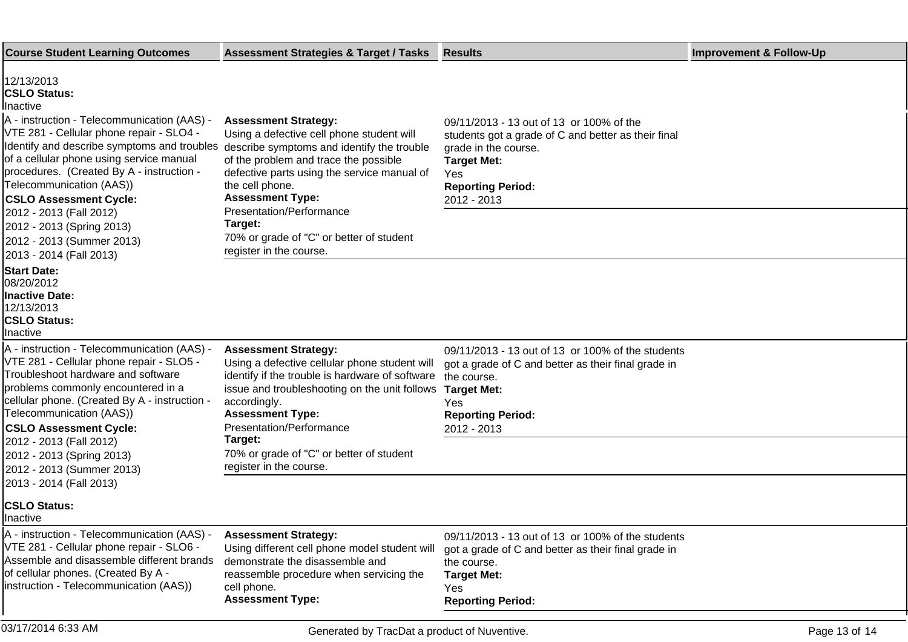| <b>Course Student Learning Outcomes</b>                                                                                                                                                                                                                                                                                                                                                                                                                                                                         | <b>Assessment Strategies &amp; Target / Tasks</b>                                                                                                                                                                                                                                                                            | <b>Results</b>                                                                                                                                                                                  | <b>Improvement &amp; Follow-Up</b> |
|-----------------------------------------------------------------------------------------------------------------------------------------------------------------------------------------------------------------------------------------------------------------------------------------------------------------------------------------------------------------------------------------------------------------------------------------------------------------------------------------------------------------|------------------------------------------------------------------------------------------------------------------------------------------------------------------------------------------------------------------------------------------------------------------------------------------------------------------------------|-------------------------------------------------------------------------------------------------------------------------------------------------------------------------------------------------|------------------------------------|
| 12/13/2013<br><b>CSLO Status:</b><br><b>Inactive</b><br>A - instruction - Telecommunication (AAS) -<br>VTE 281 - Cellular phone repair - SLO4 -<br>Identify and describe symptoms and troubles describe symptoms and identify the trouble<br>of a cellular phone using service manual<br>procedures. (Created By A - instruction -<br>Telecommunication (AAS))<br><b>CSLO Assessment Cycle:</b><br>2012 - 2013 (Fall 2012)<br>2012 - 2013 (Spring 2013)<br>2012 - 2013 (Summer 2013)<br>2013 - 2014 (Fall 2013) | <b>Assessment Strategy:</b><br>Using a defective cell phone student will<br>of the problem and trace the possible<br>defective parts using the service manual of<br>the cell phone.<br><b>Assessment Type:</b><br>Presentation/Performance<br>Target:<br>70% or grade of "C" or better of student<br>register in the course. | 09/11/2013 - 13 out of 13 or 100% of the<br>students got a grade of C and better as their final<br>grade in the course.<br><b>Target Met:</b><br>Yes<br><b>Reporting Period:</b><br>2012 - 2013 |                                    |
| <b>Start Date:</b><br>08/20/2012<br><b>Inactive Date:</b><br>12/13/2013<br><b>CSLO Status:</b><br>Inactive                                                                                                                                                                                                                                                                                                                                                                                                      |                                                                                                                                                                                                                                                                                                                              |                                                                                                                                                                                                 |                                    |
| A - instruction - Telecommunication (AAS) -<br>VTE 281 - Cellular phone repair - SLO5 -<br>Troubleshoot hardware and software<br>problems commonly encountered in a<br>cellular phone. (Created By A - instruction -<br>Telecommunication (AAS))<br><b>CSLO Assessment Cycle:</b><br>2012 - 2013 (Fall 2012)                                                                                                                                                                                                    | <b>Assessment Strategy:</b><br>Using a defective cellular phone student will<br>identify if the trouble is hardware of software<br>issue and troubleshooting on the unit follows<br>accordingly.<br><b>Assessment Type:</b><br>Presentation/Performance<br>Target:                                                           | 09/11/2013 - 13 out of 13 or 100% of the students<br>got a grade of C and better as their final grade in<br>the course.<br><b>Target Met:</b><br>Yes<br><b>Reporting Period:</b><br>2012 - 2013 |                                    |
| 2012 - 2013 (Spring 2013)<br>2012 - 2013 (Summer 2013)<br>2013 - 2014 (Fall 2013)                                                                                                                                                                                                                                                                                                                                                                                                                               | 70% or grade of "C" or better of student<br>register in the course.                                                                                                                                                                                                                                                          |                                                                                                                                                                                                 |                                    |
| <b>CSLO Status:</b><br>Ilnactive                                                                                                                                                                                                                                                                                                                                                                                                                                                                                |                                                                                                                                                                                                                                                                                                                              |                                                                                                                                                                                                 |                                    |
| A - instruction - Telecommunication (AAS) -<br>VTE 281 - Cellular phone repair - SLO6 -<br>Assemble and disassemble different brands<br>of cellular phones. (Created By A -<br>instruction - Telecommunication (AAS))                                                                                                                                                                                                                                                                                           | <b>Assessment Strategy:</b><br>Using different cell phone model student will<br>demonstrate the disassemble and<br>reassemble procedure when servicing the<br>cell phone.<br><b>Assessment Type:</b>                                                                                                                         | 09/11/2013 - 13 out of 13 or 100% of the students<br>got a grade of C and better as their final grade in<br>the course.<br><b>Target Met:</b><br>Yes<br><b>Reporting Period:</b>                |                                    |
| 03/17/2014 6:33 AM                                                                                                                                                                                                                                                                                                                                                                                                                                                                                              | Generated by TracDat a product of Nuventive.                                                                                                                                                                                                                                                                                 |                                                                                                                                                                                                 | Page 13 of 14                      |